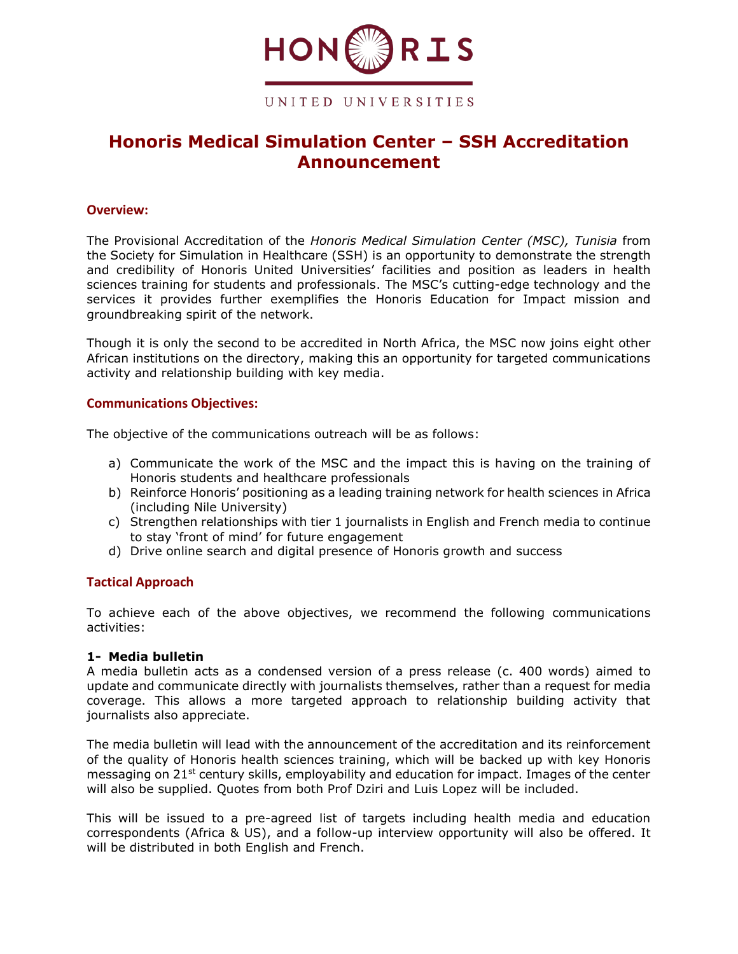

# **Honoris Medical Simulation Center – SSH Accreditation Announcement**

## **Overview:**

The Provisional Accreditation of the *Honoris Medical Simulation Center (MSC), Tunisia* from the Society for Simulation in Healthcare (SSH) is an opportunity to demonstrate the strength and credibility of Honoris United Universities' facilities and position as leaders in health sciences training for students and professionals. The MSC's cutting-edge technology and the services it provides further exemplifies the Honoris Education for Impact mission and groundbreaking spirit of the network.

Though it is only the second to be accredited in North Africa, the MSC now joins eight other African institutions on the directory, making this an opportunity for targeted communications activity and relationship building with key media.

## **Communications Objectives:**

The objective of the communications outreach will be as follows:

- a) Communicate the work of the MSC and the impact this is having on the training of Honoris students and healthcare professionals
- b) Reinforce Honoris' positioning as a leading training network for health sciences in Africa (including Nile University)
- c) Strengthen relationships with tier 1 journalists in English and French media to continue to stay 'front of mind' for future engagement
- d) Drive online search and digital presence of Honoris growth and success

## **Tactical Approach**

To achieve each of the above objectives, we recommend the following communications activities:

## **1- Media bulletin**

A media bulletin acts as a condensed version of a press release (c. 400 words) aimed to update and communicate directly with journalists themselves, rather than a request for media coverage. This allows a more targeted approach to relationship building activity that journalists also appreciate.

The media bulletin will lead with the announcement of the accreditation and its reinforcement of the quality of Honoris health sciences training, which will be backed up with key Honoris messaging on 21<sup>st</sup> century skills, employability and education for impact. Images of the center will also be supplied. Quotes from both Prof Dziri and Luis Lopez will be included.

This will be issued to a pre-agreed list of targets including health media and education correspondents (Africa & US), and a follow-up interview opportunity will also be offered. It will be distributed in both English and French.